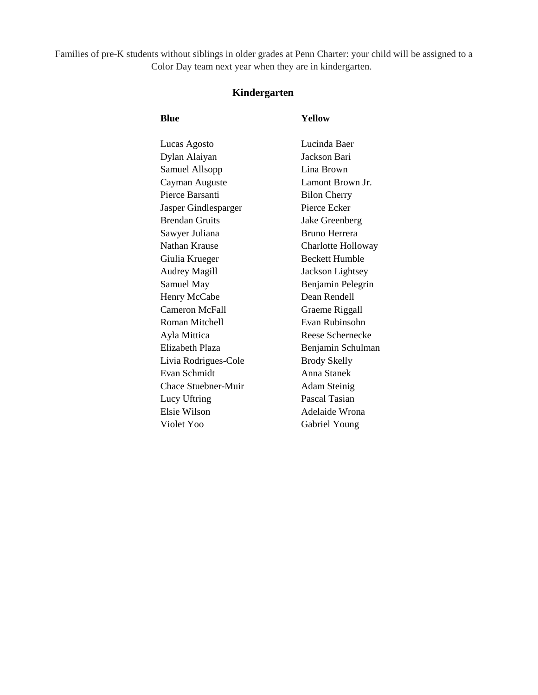Families of pre-K students without siblings in older grades at Penn Charter: your child will be assigned to a Color Day team next year when they are in kindergarten.

# **Kindergarten**

# **Blue Yellow**

| Lucinda Baer          |
|-----------------------|
| Jackson Bari          |
| Lina Brown            |
| Lamont Brown Jr.      |
| <b>Bilon Cherry</b>   |
| Pierce Ecker          |
| Jake Greenberg        |
| <b>Bruno Herrera</b>  |
| Charlotte Holloway    |
| <b>Beckett Humble</b> |
| Jackson Lightsey      |
| Benjamin Pelegrin     |
| Dean Rendell          |
| Graeme Riggall        |
| Evan Rubinsohn        |
| Reese Schernecke      |
| Benjamin Schulman     |
| <b>Brody Skelly</b>   |
| Anna Stanek           |
| <b>Adam Steinig</b>   |
| Pascal Tasian         |
| Adelaide Wrona        |
| Gabriel Young         |
|                       |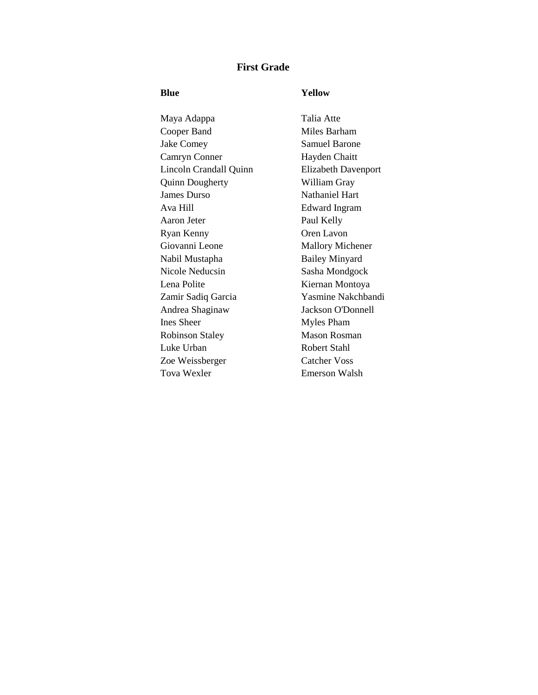## **First Grade**

## **Blue Yellow**

Maya Adappa Talia Atte Cooper Band Miles Barham Jake Comey Samuel Barone Camryn Conner Hayden Chaitt Lincoln Crandall Quinn Elizabeth Davenport Quinn Dougherty William Gray James Durso Nathaniel Hart Ava Hill Edward Ingram Aaron Jeter Paul Kelly Ryan Kenny Oren Lavon Giovanni Leone Mallory Michener Nabil Mustapha Bailey Minyard Nicole Neducsin Sasha Mondgock Lena Polite Kiernan Montoya Zamir Sadiq Garcia Yasmine Nakchbandi Andrea Shaginaw Jackson O'Donnell Ines Sheer Myles Pham Robinson Staley Mason Rosman Luke Urban Robert Stahl Zoe Weissberger Catcher Voss Tova Wexler Emerson Walsh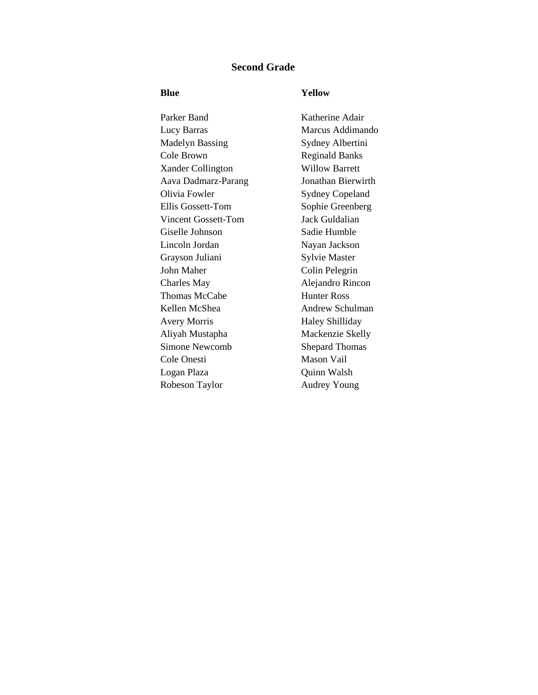## **Second Grade**

## **Blue Yellow**

Parker Band Katherine Adair Lucy Barras Marcus Addimando Madelyn Bassing Sydney Albertini Cole Brown Reginald Banks Xander Collington Willow Barrett Aava Dadmarz-Parang Jonathan Bierwirth Olivia Fowler Sydney Copeland Ellis Gossett-Tom Sophie Greenberg Vincent Gossett-Tom Jack Guldalian Giselle Johnson Sadie Humble Lincoln Jordan Nayan Jackson Grayson Juliani Sylvie Master John Maher Colin Pelegrin Charles May Alejandro Rincon Thomas McCabe **Hunter Ross** Kellen McShea Andrew Schulman Avery Morris Haley Shilliday Aliyah Mustapha Mackenzie Skelly Simone Newcomb Shepard Thomas Cole Onesti<br>
Mason Vail Logan Plaza Quinn Walsh Robeson Taylor **Audrey Young**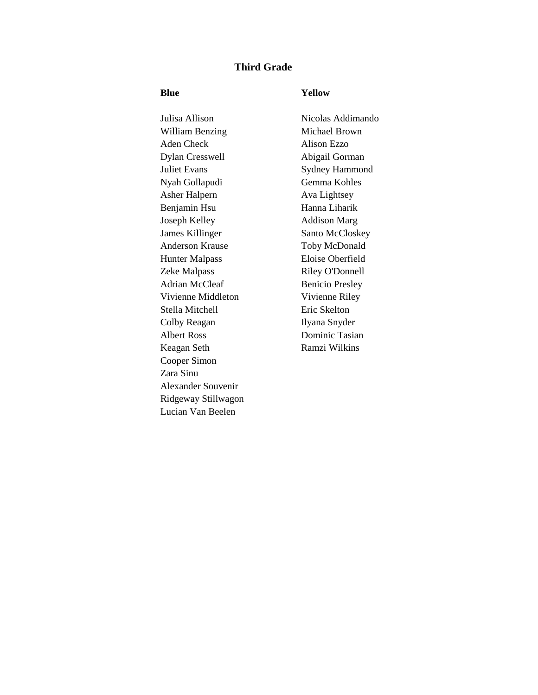# **Third Grade**

## **Blue Yellow**

Julisa Allison Nicolas Addimando William Benzing Michael Brown Aden Check Alison Ezzo Dylan Cresswell Abigail Gorman Juliet Evans Sydney Hammond Nyah Gollapudi Gemma Kohles Asher Halpern Ava Lightsey Benjamin Hsu Hanna Liharik Joseph Kelley Addison Marg **James Killinger** Santo McCloskey Anderson Krause Toby McDonald Hunter Malpass Eloise Oberfield Zeke Malpass Riley O'Donnell Adrian McCleaf Benicio Presley Vivienne Middleton Vivienne Riley Stella Mitchell Eric Skelton Colby Reagan Ilyana Snyder Albert Ross Dominic Tasian Keagan Seth Ramzi Wilkins Cooper Simon Zara Sinu Alexander Souvenir Ridgeway Stillwagon Lucian Van Beelen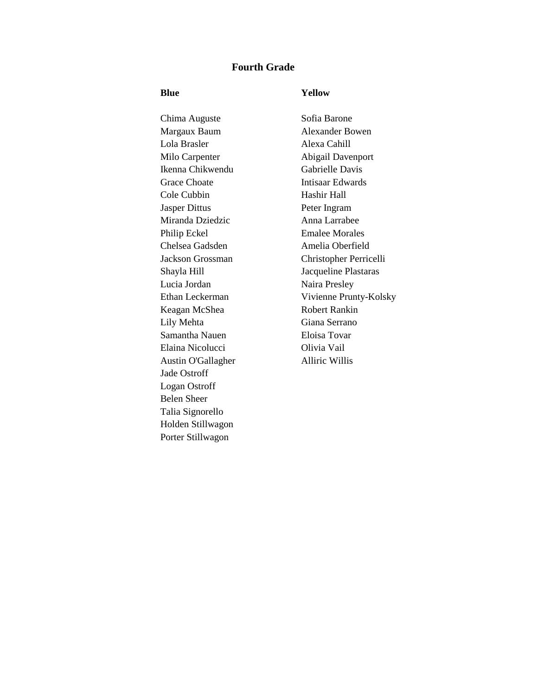## **Fourth Grade**

## **Blue Yellow**

Chima Auguste Sofia Barone Margaux Baum Alexander Bowen Lola Brasler Alexa Cahill Milo Carpenter Abigail Davenport Ikenna Chikwendu Gabrielle Davis Grace Choate **Intisaar Edwards** Cole Cubbin Hashir Hall Jasper Dittus Peter Ingram Miranda Dziedzic Anna Larrabee Philip Eckel Emalee Morales Chelsea Gadsden Amelia Oberfield Lucia Jordan Naira Presley Keagan McShea Robert Rankin Lily Mehta Giana Serrano Samantha Nauen Eloisa Tovar Elaina Nicolucci Olivia Vail Austin O'Gallagher Alliric Willis Jade Ostroff Logan Ostroff Belen Sheer Talia Signorello Holden Stillwagon Porter Stillwagon

Jackson Grossman Christopher Perricelli Shayla Hill Jacqueline Plastaras Ethan Leckerman Vivienne Prunty-Kolsky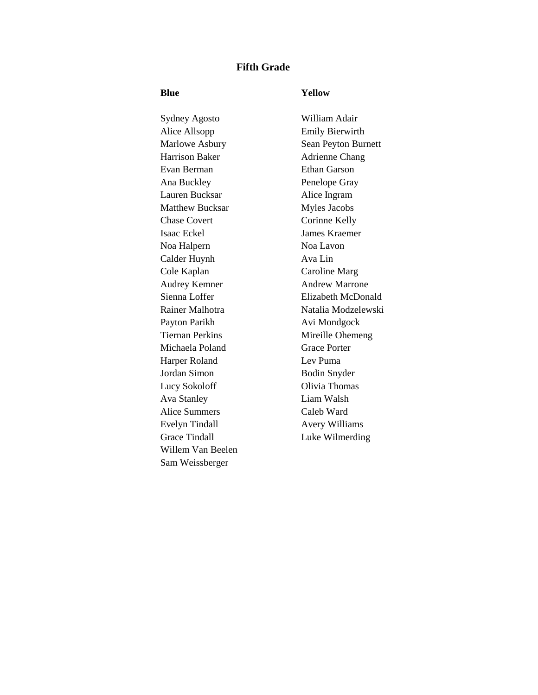## **Fifth Grade**

### **Blue Yellow**

Sydney Agosto William Adair Alice Allsopp Emily Bierwirth Marlowe Asbury Sean Peyton Burnett Harrison Baker Adrienne Chang Evan Berman Ethan Garson Ana Buckley Penelope Gray Lauren Bucksar Alice Ingram Matthew Bucksar Myles Jacobs Chase Covert Corinne Kelly Isaac Eckel James Kraemer Noa Halpern Noa Lavon Calder Huynh Ava Lin Cole Kaplan Caroline Marg Audrey Kemner Andrew Marrone Sienna Loffer Elizabeth McDonald Payton Parikh Avi Mondgock Tiernan Perkins Mireille Ohemeng Michaela Poland Grace Porter Harper Roland Lev Puma Jordan Simon Bodin Snyder Lucy Sokoloff Olivia Thomas Ava Stanley Liam Walsh Alice Summers Caleb Ward Evelyn Tindall Avery Williams Grace Tindall Luke Wilmerding Willem Van Beelen Sam Weissberger

Rainer Malhotra Natalia Modzelewski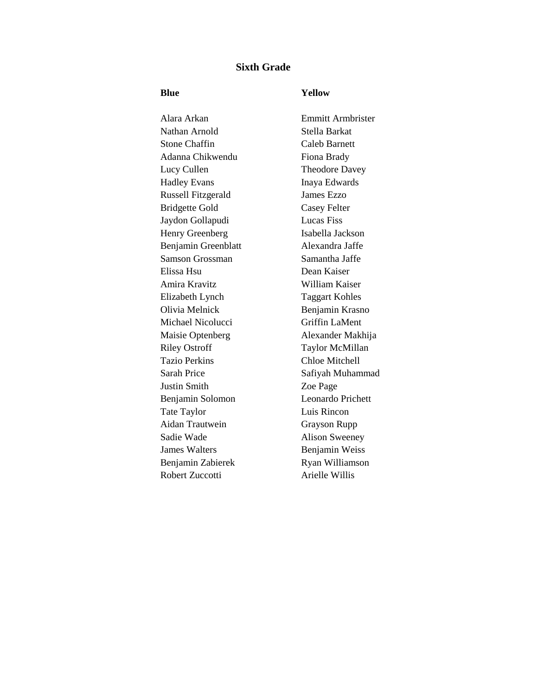# **Sixth Grade**

### **Blue Yellow**

Alara Arkan Emmitt Armbrister Nathan Arnold Stella Barkat Stone Chaffin Caleb Barnett Adanna Chikwendu Fiona Brady Lucy Cullen Theodore Davey Hadley Evans Inaya Edwards Russell Fitzgerald James Ezzo Bridgette Gold Casey Felter Jaydon Gollapudi Lucas Fiss Henry Greenberg Isabella Jackson Benjamin Greenblatt Alexandra Jaffe Samson Grossman Samantha Jaffe Elissa Hsu Dean Kaiser Amira Kravitz William Kaiser Elizabeth Lynch Taggart Kohles Olivia Melnick Benjamin Krasno Michael Nicolucci Griffin LaMent Maisie Optenberg Alexander Makhija Riley Ostroff Taylor McMillan Tazio Perkins Chloe Mitchell Sarah Price Safiyah Muhammad Justin Smith Zoe Page Benjamin Solomon Leonardo Prichett Tate Taylor Luis Rincon Aidan Trautwein Grayson Rupp Sadie Wade Alison Sweeney **James Walters** Benjamin Weiss Benjamin Zabierek Ryan Williamson Robert Zuccotti Arielle Willis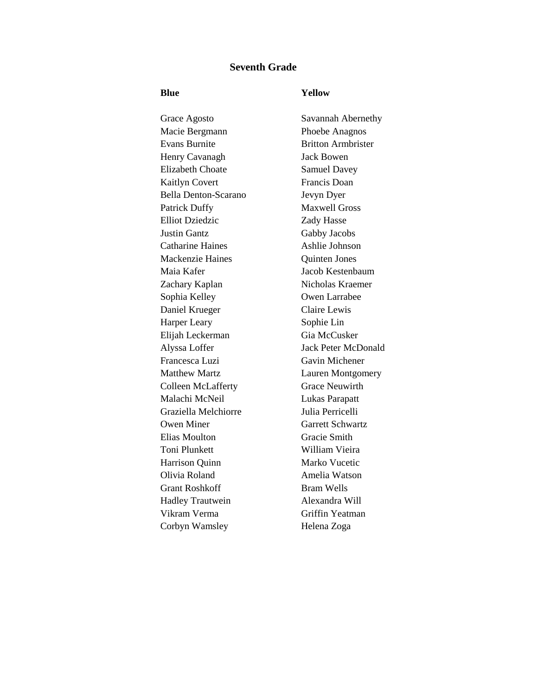## **Seventh Grade**

### **Blue Yellow**

Grace Agosto Savannah Abernethy Macie Bergmann Phoebe Anagnos Evans Burnite Britton Armbrister Henry Cavanagh Jack Bowen Elizabeth Choate Samuel Davey Kaitlyn Covert Francis Doan Bella Denton-Scarano Jevyn Dyer Patrick Duffy Maxwell Gross Elliot Dziedzic Zady Hasse Justin Gantz Gabby Jacobs Catharine Haines Ashlie Johnson Mackenzie Haines Quinten Jones Maia Kafer Jacob Kestenbaum Zachary Kaplan Nicholas Kraemer Sophia Kelley Owen Larrabee Daniel Krueger Claire Lewis Harper Leary Sophie Lin Elijah Leckerman Gia McCusker Alyssa Loffer Jack Peter McDonald Francesca Luzi Gavin Michener Matthew Martz **Lauren Montgomery** Colleen McLafferty Grace Neuwirth Malachi McNeil Lukas Parapatt Graziella Melchiorre Julia Perricelli Owen Miner Garrett Schwartz Elias Moulton Gracie Smith Toni Plunkett William Vieira Harrison Quinn Marko Vucetic Olivia Roland Amelia Watson Grant Roshkoff Bram Wells Hadley Trautwein Alexandra Will Vikram Verma Griffin Yeatman Corbyn Wamsley Helena Zoga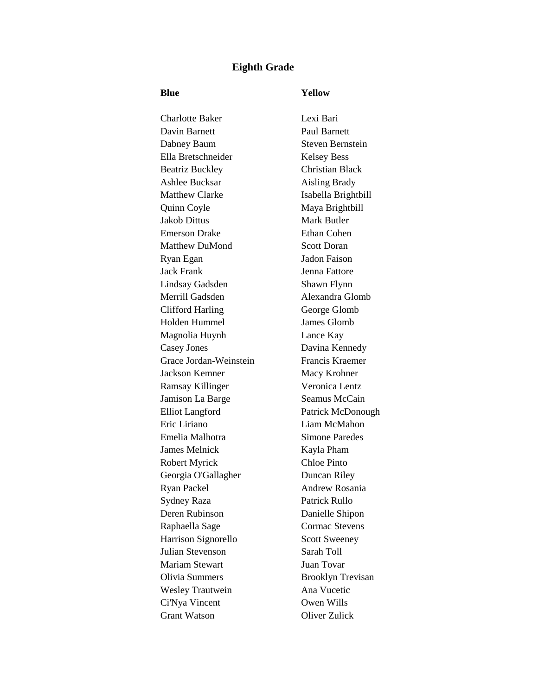## **Eighth Grade**

### **Blue Yellow**

Charlotte Baker Lexi Bari Davin Barnett Paul Barnett Dabney Baum Steven Bernstein Ella Bretschneider Kelsey Bess Beatriz Buckley Christian Black Ashlee Bucksar Aisling Brady Matthew Clarke Isabella Brightbill Quinn Coyle Maya Brightbill Jakob Dittus Mark Butler Emerson Drake Ethan Cohen Matthew DuMond Scott Doran Ryan Egan Jadon Faison Jack Frank Jenna Fattore Lindsay Gadsden Shawn Flynn Merrill Gadsden Alexandra Glomb Clifford Harling George Glomb Holden Hummel James Glomb Magnolia Huynh Lance Kay Casey Jones Davina Kennedy Grace Jordan-Weinstein Francis Kraemer Jackson Kemner Macy Krohner Ramsay Killinger Veronica Lentz Jamison La Barge Seamus McCain Elliot Langford Patrick McDonough Eric Liriano Liam McMahon Emelia Malhotra Simone Paredes James Melnick Kayla Pham Robert Myrick Chloe Pinto Georgia O'Gallagher Duncan Riley Ryan Packel Andrew Rosania Sydney Raza Patrick Rullo Deren Rubinson Danielle Shipon Raphaella Sage Cormac Stevens Harrison Signorello Scott Sweeney Julian Stevenson Sarah Toll Mariam Stewart Juan Tovar Olivia Summers Brooklyn Trevisan Wesley Trautwein Ana Vucetic Ci'Nya Vincent Owen Wills Grant Watson Oliver Zulick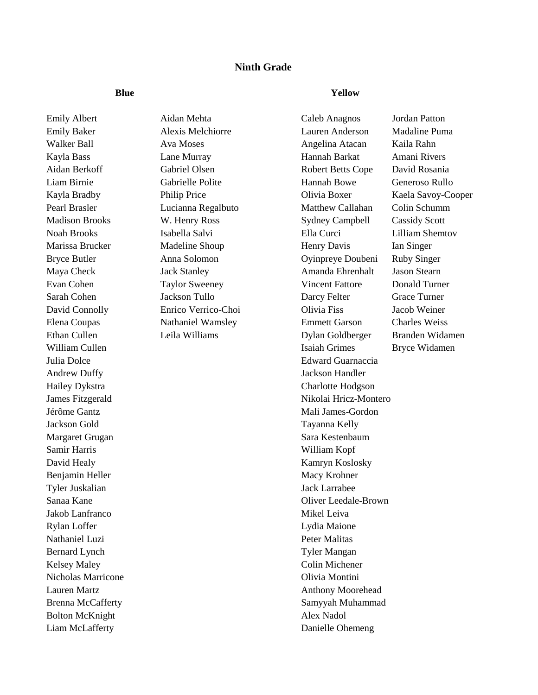# **Ninth Grade**

**Blue Yellow**

Emily Albert Aidan Mehta Caleb Anagnos Jordan Patton Andrew Duffy Jackson Handler Hailey Dykstra Charlotte Hodgson Jackson Gold Tayanna Kelly Margaret Grugan Sara Kestenbaum Sara Kestenbaum Samir Harris William Kopf David Healy Kamryn Koslosky Benjamin Heller Macy Krohner Macy Krohner Tyler Juskalian Jack Larrabee Jakob Lanfranco Mikel Leiva Rylan Loffer Lydia Maione Nathaniel Luzi Peter Malitas Bernard Lynch Tyler Mangan Kelsey Maley Colin Michener Nicholas Marricone Olivia Montini Bolton McKnight Alex Nadol Liam McLafferty Danielle Ohemeng

Emily Baker Alexis Melchiorre Lauren Anderson Madaline Puma Walker Ball **Ava Moses** Ava Moses Angelina Atacan Kaila Rahn Kayla Bass Lane Murray Hannah Barkat Amani Rivers Aidan Berkoff Gabriel Olsen Robert Betts Cope David Rosania Liam Birnie Gabrielle Polite Hannah Bowe Generoso Rullo Kayla Bradby Philip Price Clivia Boxer Kaela Savoy-Cooper Pearl Brasler Lucianna Regalbuto Matthew Callahan Colin Schumm Madison Brooks W. Henry Ross Sydney Campbell Cassidy Scott Noah Brooks Isabella Salvi Ella Curci Lilliam Shemtov Marissa Brucker Madeline Shoup Henry Davis Ian Singer Bryce Butler Anna Solomon Oyinpreye Doubeni Ruby Singer Maya Check Jack Stanley Amanda Ehrenhalt Jason Stearn Evan Cohen Taylor Sweeney Vincent Fattore Donald Turner Sarah Cohen Jackson Tullo Darcy Felter Grace Turner David Connolly Enrico Verrico-Choi Olivia Fiss Jacob Weiner Elena Coupas Nathaniel Wamsley Emmett Garson Charles Weiss Ethan Cullen Leila Williams Dylan Goldberger Branden Widamen William Cullen **Islamic Cullen** Isaiah Grimes Bryce Widamen Julia Dolce Edward Guarnaccia James Fitzgerald Nikolai Hricz-Montero Jérôme Gantz Mali James-Gordon Sanaa Kane Oliver Leedale-Brown Lauren Martz **Anthony Moorehead** Brenna McCafferty Samyyah Muhammad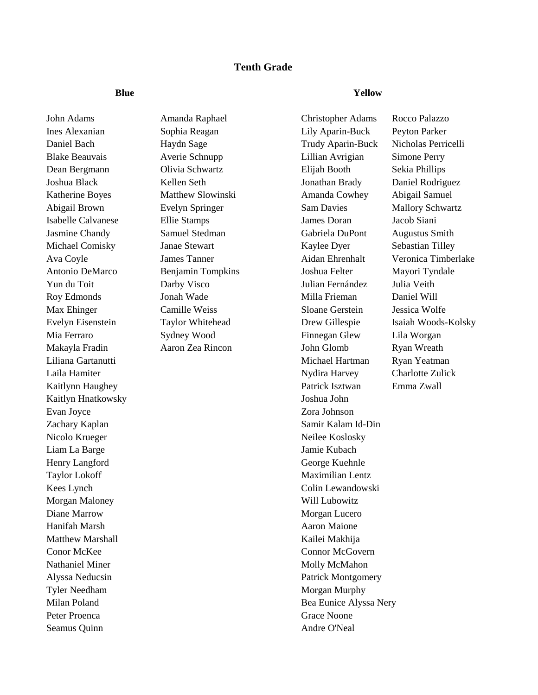# **Tenth Grade**

Kaitlyn Hnatkowsky Joshua John Evan Joyce Zora Johnson Nicolo Krueger Neilee Koslosky Liam La Barge **International Studies of the United Studies** Jamie Kubach Henry Langford George Kuehnle Taylor Lokoff **Maximilian Lentz** Morgan Maloney Will Lubowitz Diane Marrow Morgan Lucero Hanifah Marsh Aaron Maione Matthew Marshall Kailei Makhija Conor McKee Connor McGovern Nathaniel Miner Molly McMahon Tyler Needham Morgan Murphy Peter Proenca Grace Noone Seamus Quinn Andre O'Neal

**Blue Yellow**

John Adams Amanda Raphael Christopher Adams Rocco Palazzo Ines Alexanian Sophia Reagan Lily Aparin-Buck Peyton Parker Daniel Bach Haydn Sage Trudy Aparin-Buck Nicholas Perricelli Blake Beauvais Averie Schnupp Lillian Avrigian Simone Perry Dean Bergmann Olivia Schwartz Elijah Booth Sekia Phillips Joshua Black Kellen Seth Jonathan Brady Daniel Rodriguez Katherine Boyes Matthew Slowinski Amanda Cowhey Abigail Samuel Abigail Brown Evelyn Springer Sam Davies Mallory Schwartz Isabelle Calvanese Ellie Stamps James Doran Jacob Siani Jasmine Chandy Samuel Stedman Gabriela DuPont Augustus Smith Michael Comisky **Janae Stewart** Kaylee Dyer Sebastian Tilley Ava Coyle James Tanner Aidan Ehrenhalt Veronica Timberlake Antonio DeMarco Benjamin Tompkins Joshua Felter Mayori Tyndale Yun du Toit Darby Visco Julian Fernández Julia Veith Roy Edmonds Jonah Wade Milla Frieman Daniel Will Max Ehinger Camille Weiss Sloane Gerstein Jessica Wolfe Evelyn Eisenstein Taylor Whitehead Drew Gillespie Isaiah Woods-Kolsky Mia Ferraro Sydney Wood Finnegan Glew Lila Worgan Makayla Fradin Aaron Zea Rincon John Glomb Ryan Wreath Liliana Gartanutti Michael Hartman Ryan Yeatman Laila Hamiter Nydira Harvey Charlotte Zulick Kaitlynn Haughey **Patrick Isztwan** Emma Zwall Zachary Kaplan Samir Kalam Id-Din Kees Lynch Colin Lewandowski Alyssa Neducsin **Patrick Montgomery** Patrick Montgomery Milan Poland Bea Eunice Alyssa Nery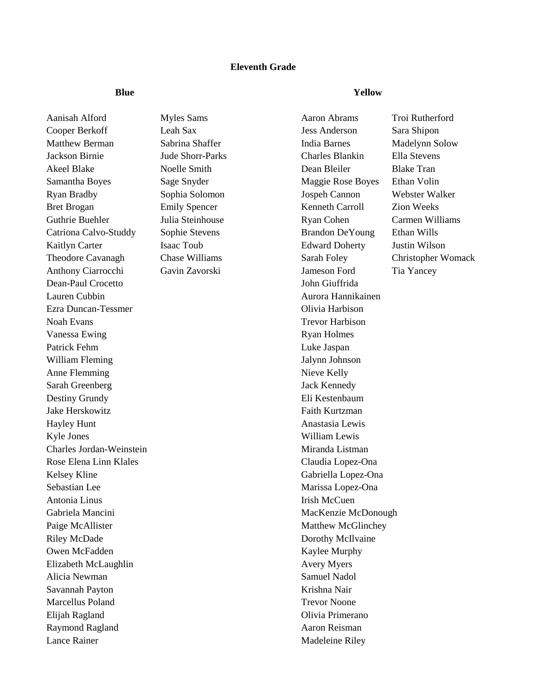## **Eleventh Grade**

**Blue Yellow**

Aanisah Alford Myles Sams Aaron Abrams Troi Rutherford Cooper Berkoff Leah Sax Jess Anderson Sara Shipon Matthew Berman Sabrina Shaffer India Barnes Madelynn Solow Jackson Birnie Jude Shorr-Parks Charles Blankin Ella Stevens Akeel Blake Tran Noelle Smith Dean Bleiler Blake Tran Samantha Boyes Sage Snyder Maggie Rose Boyes Ethan Volin Ryan Bradby Sophia Solomon Jospeh Cannon Webster Walker Bret Brogan Emily Spencer Kenneth Carroll Zion Weeks Guthrie Buehler Julia Steinhouse Ryan Cohen Carmen Williams Catriona Calvo-Studdy Sophie Stevens Brandon DeYoung Ethan Wills Kaitlyn Carter Isaac Toub Edward Doherty Justin Wilson Theodore Cavanagh Chase Williams Sarah Foley Christopher Womack Anthony Ciarrocchi Gavin Zavorski Jameson Ford Tia Yancey Dean-Paul Crocetto John Giuffrida Lauren Cubbin Aurora Hannikainen Ezra Duncan-Tessmer Olivia Harbison Noah Evans Trevor Harbison Vanessa Ewing **Ryan Holmes** Ryan Holmes Patrick Fehm Luke Jaspan William Fleming Jalynn Johnson Anne Flemming Nieve Kelly Sarah Greenberg Jack Kennedy Destiny Grundy Eli Kestenbaum Jake Herskowitz **Faith Kurtzman** Hayley Hunt Anastasia Lewis Kyle Jones William Lewis Charles Jordan-Weinstein Miranda Listman Rose Elena Linn Klales **Claudia Lopez-Ona** Claudia Lopez-Ona Kelsey Kline Gabriella Lopez-Ona Sebastian Lee Marissa Lopez-Ona Antonia Linus **Institute International Contract Contract Institute Irish McCuen** Gabriela Mancini and a material method of the MacKenzie McDonough Paige McAllister Matthew McGlinchey Riley McDade Dorothy McIlvaine Owen McFadden Kaylee Murphy Elizabeth McLaughlin Avery Myers Alicia Newman Samuel Nadol Savannah Payton Krishna Nair Marcellus Poland Trevor Noone Elijah Ragland Olivia Primerano Raymond Ragland **A**aron Reisman Lance Rainer Madeleine Riley